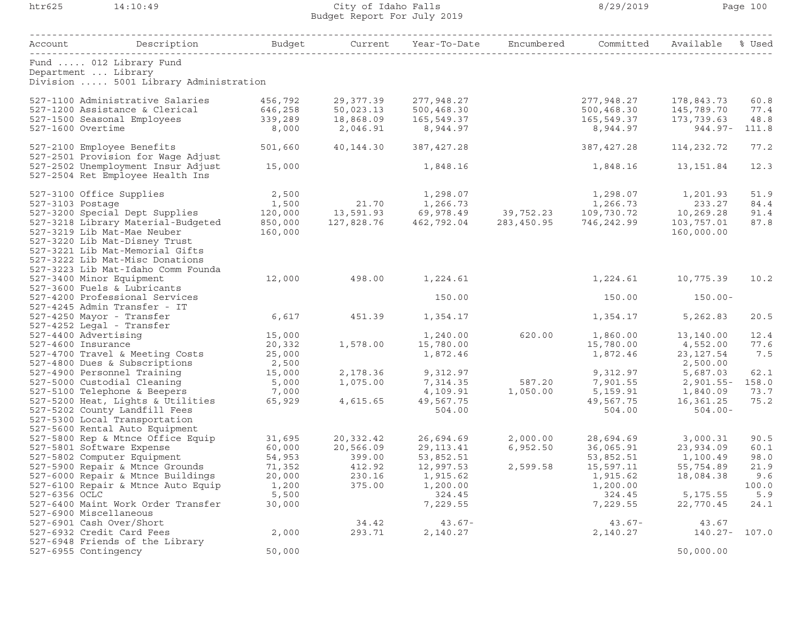## htr625 14:10:49 City of Idaho Falls 8/29/2019 Page 100 Budget Report For July 2019

| Account                                                                | Description                                                       | Budget          | Current         | Year-To-Date          | Encumbered     | Committed             | Available              | % Used       |
|------------------------------------------------------------------------|-------------------------------------------------------------------|-----------------|-----------------|-----------------------|----------------|-----------------------|------------------------|--------------|
| Department  Library                                                    | Fund  012 Library Fund                                            |                 |                 |                       | -------------- |                       |                        |              |
|                                                                        | Division  5001 Library Administration                             |                 |                 |                       |                |                       |                        |              |
|                                                                        | 527-1100 Administrative Salaries                                  | 456,792         | 29,377.39       | 277,948.27            |                | 277,948.27            | 178,843.73             | 60.8         |
|                                                                        | 527-1200 Assistance & Clerical                                    | 646,258         | 50,023.13       | 500,468.30            |                | 500,468.30            | 145,789.70             | 77.4         |
| 527-1500 Seasonal Employees                                            |                                                                   | 339,289         | 18,868.09       | 165,549.37            |                | 165,549.37            | 173,739.63             | 48.8         |
| 527-1600 Overtime                                                      |                                                                   | 8,000           | 2,046.91        | 8,944.97              |                | 8,944.97              | $944.97 -$             | 111.8        |
|                                                                        | 527-2100 Employee Benefits<br>527-2501 Provision for Wage Adjust  | 501,660         | 40,144.30       | 387, 427.28           |                | 387, 427.28           | 114, 232.72            | 77.2         |
| 527-2502 Unemployment Insur Adjust<br>527-2504 Ret Employee Health Ins |                                                                   | 15,000          |                 | 1,848.16              |                | 1,848.16              | 13,151.84              | 12.3         |
| 527-3100 Office Supplies                                               |                                                                   | 2,500           |                 | 1,298.07              |                | 1,298.07              | 1,201.93               | 51.9         |
| 527-3103 Postage                                                       |                                                                   | 1,500           | 21.70           | 1,266.73              |                | 1,266.73              | 233.27                 | 84.4         |
|                                                                        | 527-3200 Special Dept Supplies                                    | 120,000         | 13,591.93       | 69,978.49             | 39,752.23      | 109,730.72            | 10,269.28              | 91.4         |
|                                                                        | 527-3218 Library Material-Budgeted                                | 850,000         | 127,828.76      | 462,792.04            | 283,450.95     | 746,242.99            | 103,757.01             | 87.8         |
|                                                                        | 527-3219 Lib Mat-Mae Neuber                                       | 160,000         |                 |                       |                |                       | 160,000.00             |              |
|                                                                        | 527-3220 Lib Mat-Disney Trust                                     |                 |                 |                       |                |                       |                        |              |
|                                                                        | 527-3221 Lib Mat-Memorial Gifts                                   |                 |                 |                       |                |                       |                        |              |
|                                                                        | 527-3222 Lib Mat-Misc Donations                                   |                 |                 |                       |                |                       |                        |              |
|                                                                        | 527-3223 Lib Mat-Idaho Comm Founda                                |                 |                 |                       |                |                       |                        |              |
| 527-3400 Minor Equipment                                               | 527-3600 Fuels & Lubricants                                       | 12,000          | 498.00          | 1,224.61              |                | 1,224.61              | 10,775.39              | 10.2         |
|                                                                        | 527-4200 Professional Services                                    |                 |                 | 150.00                |                | 150.00                | $150.00 -$             |              |
|                                                                        | 527-4245 Admin Transfer - IT                                      |                 |                 |                       |                |                       |                        |              |
| 527-4250 Mayor - Transfer                                              |                                                                   | 6,617           | 451.39          | 1,354.17              |                | 1,354.17              | 5,262.83               | 20.5         |
| 527-4252 Legal - Transfer                                              |                                                                   |                 |                 |                       |                |                       |                        |              |
| 527-4400 Advertising                                                   |                                                                   | 15,000          |                 | 1,240.00              | 620.00         | 1,860.00              | 13,140.00              | 12.4         |
| 527-4600 Insurance                                                     |                                                                   | 20,332          | 1,578.00        | 15,780.00             |                | 15,780.00             | 4,552.00               | 77.6         |
|                                                                        | 527-4700 Travel & Meeting Costs                                   | 25,000          |                 | 1,872.46              |                | 1,872.46              | 23, 127.54             | 7.5          |
|                                                                        | 527-4800 Dues & Subscriptions                                     | 2,500           |                 |                       |                |                       | 2,500.00               |              |
|                                                                        | 527-4900 Personnel Training                                       | 15,000          | 2,178.36        | 9,312.97              |                | 9,312.97              | 5,687.03               | 62.1         |
|                                                                        | 527-5000 Custodial Cleaning                                       | 5,000           | 1,075.00        | 7,314.35              | 587.20         | 7,901.55              | $2,901.55 -$           | 158.0        |
|                                                                        | 527-5100 Telephone & Beepers<br>527-5200 Heat, Lights & Utilities | 7,000<br>65,929 | 4,615.65        | 4,109.91<br>49,567.75 | 1,050.00       | 5,159.91<br>49,567.75 | 1,840.09<br>16,361.25  | 73.7<br>75.2 |
|                                                                        | 527-5202 County Landfill Fees                                     |                 |                 | 504.00                |                | 504.00                | $504.00 -$             |              |
|                                                                        | 527-5300 Local Transportation                                     |                 |                 |                       |                |                       |                        |              |
|                                                                        | 527-5600 Rental Auto Equipment                                    |                 |                 |                       |                |                       |                        |              |
|                                                                        | 527-5800 Rep & Mtnce Office Equip                                 | 31,695          | 20,332.42       | 26,694.69             | 2,000.00       | 28,694.69             | 3,000.31               | 90.5         |
| 527-5801 Software Expense                                              |                                                                   | 60,000          | 20,566.09       | 29, 113. 41           | 6,952.50       | 36,065.91             | 23,934.09              | 60.1         |
|                                                                        | 527-5802 Computer Equipment                                       | 54,953          | 399.00          | 53,852.51             |                | 53,852.51             | 1,100.49               | 98.0         |
|                                                                        | 527-5900 Repair & Mtnce Grounds                                   | 71,352          | 412.92          | 12,997.53             | 2,599.58       | 15,597.11             | 55,754.89              | 21.9         |
| 527-6000 Repair & Mtnce Buildings                                      |                                                                   | 20,000          | 230.16          | 1,915.62              |                | 1,915.62              | 18,084.38              | 9.6          |
| 527-6100 Repair & Mtnce Auto Equip                                     |                                                                   | 1,200           | 375.00          | 1,200.00              |                | 1,200.00              |                        | 100.0        |
| 527-6356 OCLC                                                          |                                                                   | 5,500           |                 | 324.45                |                | 324.45                | 5,175.55               | 5.9          |
|                                                                        | 527-6400 Maint Work Order Transfer                                | 30,000          |                 | 7,229.55              |                | 7,229.55              | 22,770.45              | 24.1         |
| 527-6900 Miscellaneous                                                 |                                                                   |                 |                 |                       |                |                       |                        |              |
| 527-6901 Cash Over/Short<br>527-6932 Credit Card Fees                  |                                                                   | 2,000           | 34.42<br>293.71 | $43.67 -$<br>2,140.27 |                | $43.67 -$<br>2,140.27 | 43.67<br>140.27- 107.0 |              |
|                                                                        | 527-6948 Friends of the Library                                   |                 |                 |                       |                |                       |                        |              |
| 527-6955 Contingency                                                   |                                                                   | 50,000          |                 |                       |                |                       | 50,000.00              |              |
|                                                                        |                                                                   |                 |                 |                       |                |                       |                        |              |